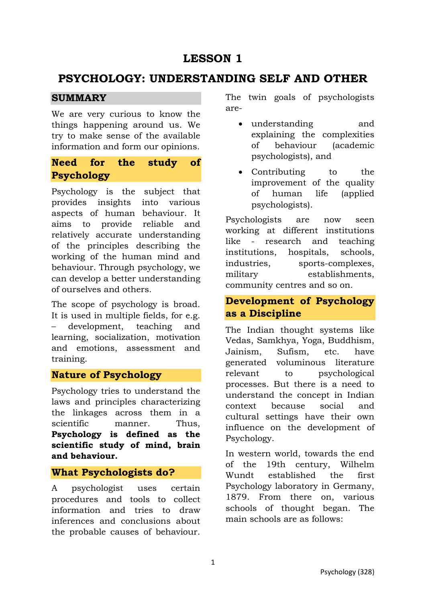# **LESSON 1**

# **PSYCHOLOGY: UNDERSTANDING SELF AND OTHER**

### **SUMMARY**

We are very curious to know the things happening around us. We try to make sense of the available information and form our opinions.

### **Need for the study of Psychology**

Psychology is the subject that provides insights into various aspects of human behaviour. It aims to provide reliable and relatively accurate understanding of the principles describing the working of the human mind and behaviour. Through psychology, we can develop a better understanding of ourselves and others.

The scope of psychology is broad. It is used in multiple fields, for e.g. – development, teaching and learning, socialization, motivation and emotions, assessment and training.

### **Nature of Psychology**

Psychology tries to understand the laws and principles characterizing the linkages across them in a scientific manner. Thus, **Psychology is defined as the scientific study of mind, brain and behaviour.** 

#### **What Psychologists do?**

A psychologist uses certain procedures and tools to collect information and tries to draw inferences and conclusions about the probable causes of behaviour.

The twin goals of psychologists are-

- understanding and explaining the complexities of behaviour (academic psychologists), and
- Contributing to the improvement of the quality of human life (applied psychologists).

Psychologists are now seen working at different institutions like - research and teaching institutions, hospitals, schools, industries, sports-complexes, military establishments, community centres and so on.

### **Development of Psychology as a Discipline**

The Indian thought systems like Vedas, Samkhya, Yoga, Buddhism, Jainism, Sufism, etc. have generated voluminous literature relevant to psychological processes. But there is a need to understand the concept in Indian context because social and cultural settings have their own influence on the development of Psychology.

In western world, towards the end of the 19th century, Wilhelm Wundt established the first Psychology laboratory in Germany, 1879. From there on, various schools of thought began. The main schools are as follows: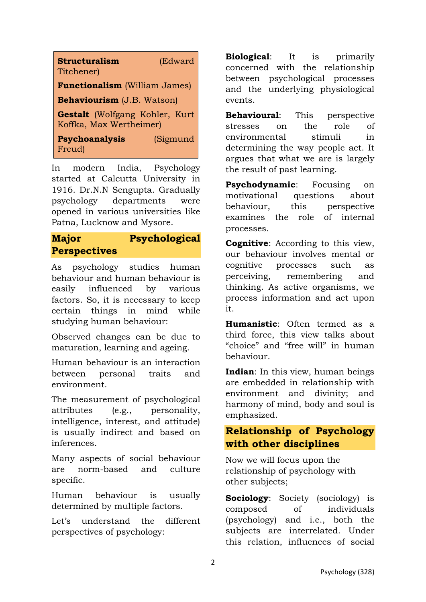| <b>Structuralism</b><br>Titchener)                               | (Edward  |
|------------------------------------------------------------------|----------|
| <b>Functionalism</b> (William James)                             |          |
| Behaviourism (J.B. Watson)                                       |          |
| <b>Gestalt</b> (Wolfgang Kohler, Kurt<br>Koffka, Max Wertheimer) |          |
| <b>Psychoanalysis</b><br>Freud)                                  | (Sigmund |

In modern India, Psychology started at Calcutta University in 1916. Dr.N.N Sengupta. Gradually psychology departments were opened in various universities like Patna, Lucknow and Mysore.

## **Major Psychological Perspectives**

As psychology studies human behaviour and human behaviour is easily influenced by various factors. So, it is necessary to keep certain things in mind while studying human behaviour:

Observed changes can be due to maturation, learning and ageing.

Human behaviour is an interaction between personal traits and environment.

The measurement of psychological attributes (e.g., personality, intelligence, interest, and attitude) is usually indirect and based on inferences.

Many aspects of social behaviour are norm-based and culture specific.

Human behaviour is usually determined by multiple factors.

Let's understand the different perspectives of psychology:

**Biological**: It is primarily concerned with the relationship between psychological processes and the underlying physiological events.

**Behavioural**: This perspective stresses on the role of environmental stimuli in determining the way people act. It argues that what we are is largely the result of past learning.

**Psychodynamic**: Focusing on motivational questions about behaviour, this perspective examines the role of internal processes.

**Cognitive**: According to this view, our behaviour involves mental or cognitive processes such as perceiving, remembering and thinking. As active organisms, we process information and act upon it.

**Humanistic**: Often termed as a third force, this view talks about "choice" and "free will" in human behaviour.

**Indian**: In this view, human beings are embedded in relationship with environment and divinity; and harmony of mind, body and soul is emphasized.

### **Relationship of Psychology with other disciplines**

Now we will focus upon the relationship of psychology with other subjects;

**Sociology**: Society (sociology) is composed of individuals (psychology) and i.e., both the subjects are interrelated. Under this relation, influences of social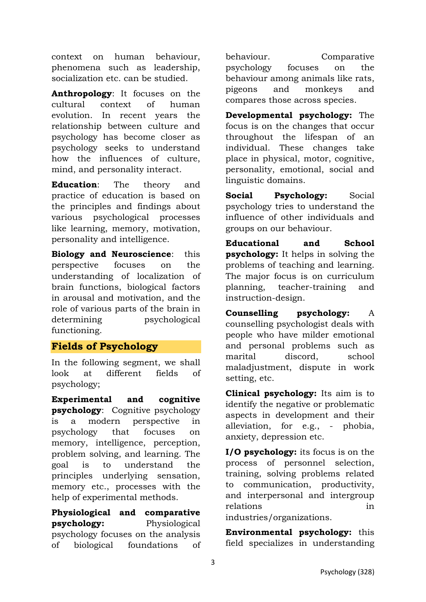context on human behaviour, phenomena such as leadership, socialization etc. can be studied.

**Anthropology**: It focuses on the cultural context of human evolution. In recent years the relationship between culture and psychology has become closer as psychology seeks to understand how the influences of culture, mind, and personality interact.

**Education**: The theory and practice of education is based on the principles and findings about various psychological processes like learning, memory, motivation, personality and intelligence.

**Biology and Neuroscience**: this perspective focuses on the understanding of localization of brain functions, biological factors in arousal and motivation, and the role of various parts of the brain in determining psychological functioning.

#### **Fields of Psychology**

In the following segment, we shall look at different fields of psychology;

**Experimental and cognitive psychology**: Cognitive psychology is a modern perspective in psychology that focuses on memory, intelligence, perception, problem solving, and learning. The goal is to understand the principles underlying sensation, memory etc., processes with the help of experimental methods.

**Physiological and comparative psychology:** Physiological psychology focuses on the analysis of biological foundations of behaviour. Comparative psychology focuses on the behaviour among animals like rats, pigeons and monkeys and compares those across species.

**Developmental psychology:** The focus is on the changes that occur throughout the lifespan of an individual. These changes take place in physical, motor, cognitive, personality, emotional, social and linguistic domains.

**Social Psychology:** Social psychology tries to understand the influence of other individuals and groups on our behaviour.

**Educational and School psychology:** It helps in solving the problems of teaching and learning. The major focus is on curriculum planning, teacher-training and instruction-design.

**Counselling psychology:** A counselling psychologist deals with people who have milder emotional and personal problems such as marital discord, school maladjustment, dispute in work setting, etc.

**Clinical psychology:** Its aim is to identify the negative or problematic aspects in development and their alleviation, for e.g., - phobia, anxiety, depression etc.

**I/O psychology:** its focus is on the process of personnel selection, training, solving problems related to communication, productivity, and interpersonal and intergroup relations in

industries/organizations.

**Environmental psychology:** this field specializes in understanding